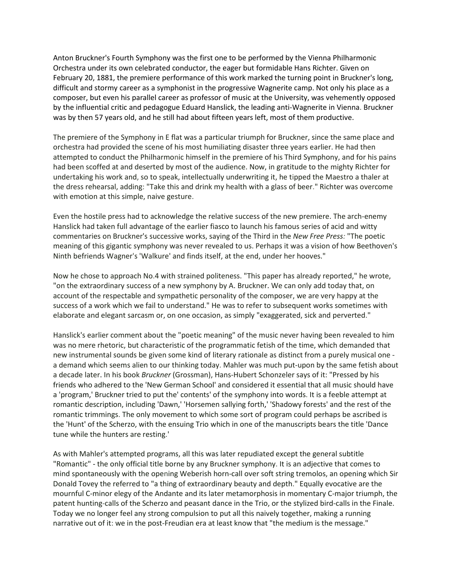Anton Bruckner's Fourth Symphony was the first one to be performed by the Vienna Philharmonic Orchestra under its own celebrated conductor, the eager but formidable Hans Richter. Given on February 20, 1881, the premiere performance of this work marked the turning point in Bruckner's long, difficult and stormy career as a symphonist in the progressive Wagnerite camp. Not only his place as a composer, but even his parallel career as professor of music at the University, was vehemently opposed by the influential critic and pedagogue Eduard Hanslick, the leading anti-Wagnerite in Vienna. Bruckner was by then 57 years old, and he still had about fifteen years left, most of them productive.

The premiere of the Symphony in E flat was a particular triumph for Bruckner, since the same place and orchestra had provided the scene of his most humiliating disaster three years earlier. He had then attempted to conduct the Philharmonic himself in the premiere of his Third Symphony, and for his pains had been scoffed at and deserted by most of the audience. Now, in gratitude to the mighty Richter for undertaking his work and, so to speak, intellectually underwriting it, he tipped the Maestro a thaler at the dress rehearsal, adding: "Take this and drink my health with a glass of beer." Richter was overcome with emotion at this simple, naive gesture.

Even the hostile press had to acknowledge the relative success of the new premiere. The arch-enemy Hanslick had taken full advantage of the earlier fiasco to launch his famous series of acid and witty commentaries on Bruckner's successive works, saying of the Third in the *New Free Press:* "The poetic meaning of this gigantic symphony was never revealed to us. Perhaps it was a vision of how Beethoven's Ninth befriends Wagner's 'Walkure' and finds itself, at the end, under her hooves."

Now he chose to approach No.4 with strained politeness. "This paper has already reported," he wrote, "on the extraordinary success of a new symphony by A. Bruckner. We can only add today that, on account of the respectable and sympathetic personality of the composer, we are very happy at the success of a work which we fail to understand." He was to refer to subsequent works sometimes with elaborate and elegant sarcasm or, on one occasion, as simply "exaggerated, sick and perverted."

Hanslick's earlier comment about the "poetic meaning" of the music never having been revealed to him was no mere rhetoric, but characteristic of the programmatic fetish of the time, which demanded that new instrumental sounds be given some kind of literary rationale as distinct from a purely musical one a demand which seems alien to our thinking today. Mahler was much put-upon by the same fetish about a decade later. In his book *Bruckner* (Grossman), Hans-Hubert Schonzeler says of it: "Pressed by his friends who adhered to the 'New German School' and considered it essential that all music should have a 'program,' Bruckner tried to put the' contents' of the symphony into words. It is a feeble attempt at romantic description, including 'Dawn,' 'Horsemen sallying forth,' 'Shadowy forests' and the rest of the romantic trimmings. The only movement to which some sort of program could perhaps be ascribed is the 'Hunt' of the Scherzo, with the ensuing Trio which in one of the manuscripts bears the title 'Dance tune while the hunters are resting.'

As with Mahler's attempted programs, all this was later repudiated except the general subtitle "Romantic" - the only official title borne by any Bruckner symphony. It is an adjective that comes to mind spontaneously with the opening Weberish horn-call over soft string tremolos, an opening which Sir Donald Tovey the referred to "a thing of extraordinary beauty and depth." Equally evocative are the mournful C-minor elegy of the Andante and its later metamorphosis in momentary C-major triumph, the patent hunting-calls of the Scherzo and peasant dance in the Trio, or the stylized bird-calls in the Finale. Today we no longer feel any strong compulsion to put all this naively together, making a running narrative out of it: we in the post-Freudian era at least know that "the medium is the message."